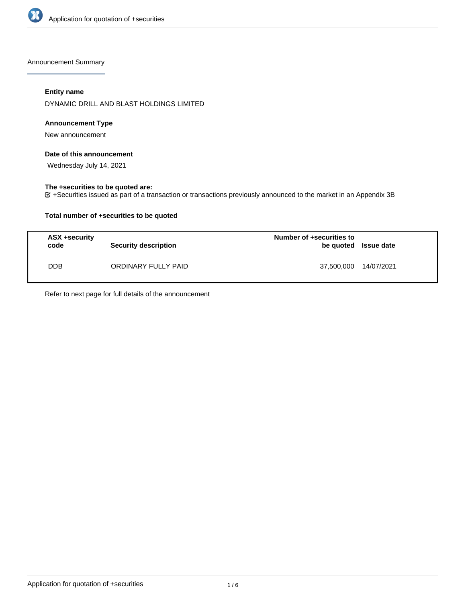

Announcement Summary

## **Entity name**

DYNAMIC DRILL AND BLAST HOLDINGS LIMITED

### **Announcement Type**

New announcement

## **Date of this announcement**

Wednesday July 14, 2021

### **The +securities to be quoted are:**

+Securities issued as part of a transaction or transactions previously announced to the market in an Appendix 3B

### **Total number of +securities to be quoted**

| ASX +security<br>code | <b>Security description</b> | Number of +securities to<br>be quoted Issue date |            |
|-----------------------|-----------------------------|--------------------------------------------------|------------|
| <b>DDB</b>            | ORDINARY FULLY PAID         | 37,500,000                                       | 14/07/2021 |

Refer to next page for full details of the announcement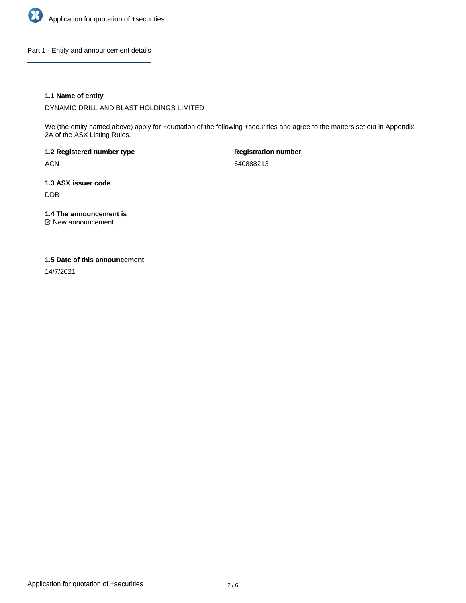

Part 1 - Entity and announcement details

### **1.1 Name of entity**

DYNAMIC DRILL AND BLAST HOLDINGS LIMITED

We (the entity named above) apply for +quotation of the following +securities and agree to the matters set out in Appendix 2A of the ASX Listing Rules.

**1.2 Registered number type** ACN

**Registration number** 640888213

**1.3 ASX issuer code** DDB

**1.4 The announcement is**

New announcement

### **1.5 Date of this announcement**

14/7/2021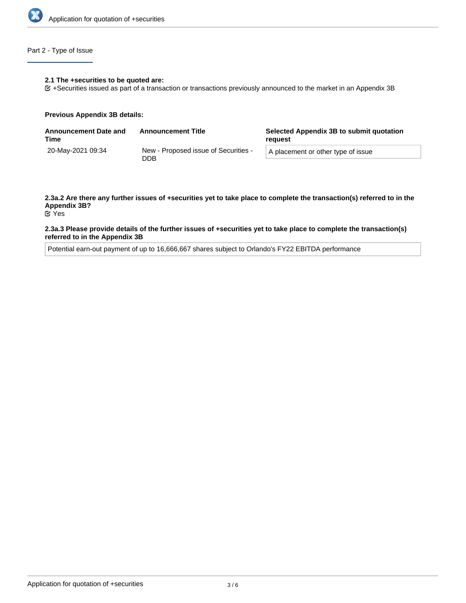

# Part 2 - Type of Issue

#### **2.1 The +securities to be quoted are:**

+Securities issued as part of a transaction or transactions previously announced to the market in an Appendix 3B

#### **Previous Appendix 3B details:**

| <b>Announcement Date and</b><br>Time | <b>Announcement Title</b>                   | Selected Appendix 3B to submit quotation<br>reguest |  |
|--------------------------------------|---------------------------------------------|-----------------------------------------------------|--|
| 20-May-2021 09:34                    | New - Proposed issue of Securities -<br>DDB | A placement or other type of issue                  |  |

# **2.3a.2 Are there any further issues of +securities yet to take place to complete the transaction(s) referred to in the Appendix 3B?**

Yes

#### **2.3a.3 Please provide details of the further issues of +securities yet to take place to complete the transaction(s) referred to in the Appendix 3B**

Potential earn-out payment of up to 16,666,667 shares subject to Orlando's FY22 EBITDA performance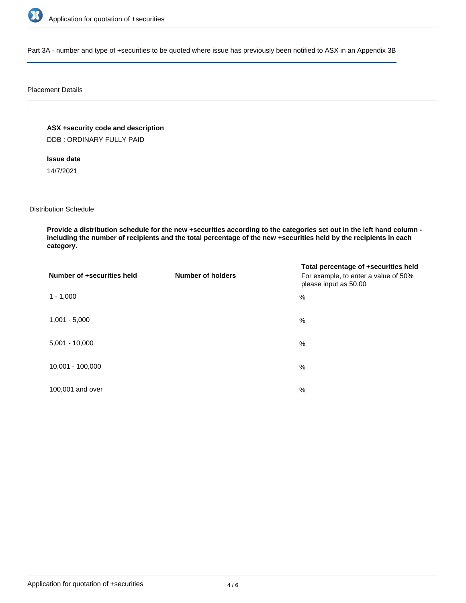

Part 3A - number and type of +securities to be quoted where issue has previously been notified to ASX in an Appendix 3B

#### Placement Details

**ASX +security code and description** DDB : ORDINARY FULLY PAID

**Issue date**

14/7/2021

Distribution Schedule

**Provide a distribution schedule for the new +securities according to the categories set out in the left hand column including the number of recipients and the total percentage of the new +securities held by the recipients in each category.**

| Number of +securities held | <b>Number of holders</b> | Total percentage of +securities held<br>For example, to enter a value of 50%<br>please input as 50.00 |
|----------------------------|--------------------------|-------------------------------------------------------------------------------------------------------|
| $1 - 1,000$                |                          | %                                                                                                     |
| $1,001 - 5,000$            |                          | $\%$                                                                                                  |
| $5,001 - 10,000$           |                          | %                                                                                                     |
| 10,001 - 100,000           |                          | %                                                                                                     |
| 100,001 and over           |                          | %                                                                                                     |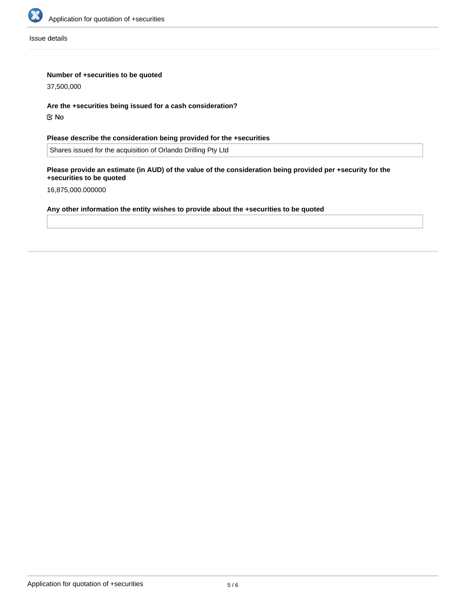

Issue details

### **Number of +securities to be quoted**

37,500,000

# **Are the +securities being issued for a cash consideration?**

No

# **Please describe the consideration being provided for the +securities**

Shares issued for the acquisition of Orlando Drilling Pty Ltd

### **Please provide an estimate (in AUD) of the value of the consideration being provided per +security for the +securities to be quoted**

16,875,000.000000

# **Any other information the entity wishes to provide about the +securities to be quoted**